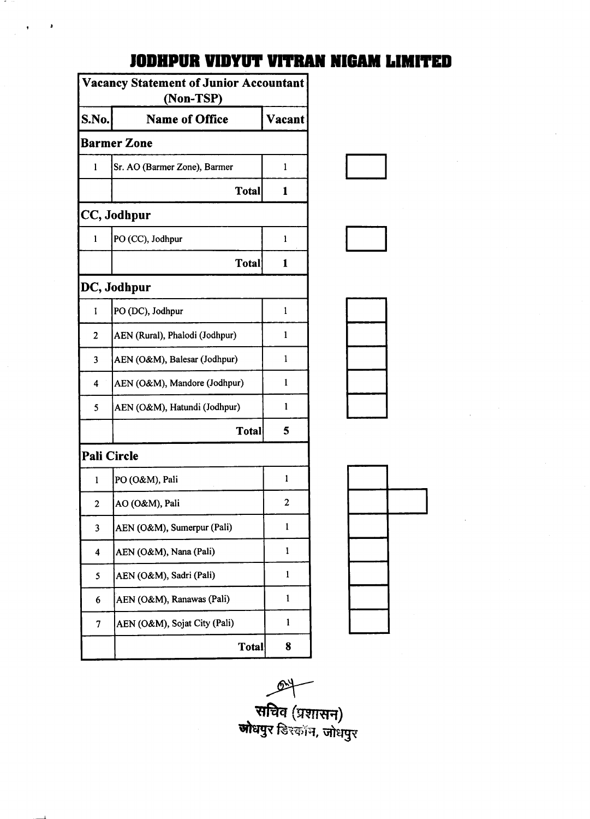| Vacancy Statement of Junior Accountant<br>(Non-TSP) |                                |        |  |
|-----------------------------------------------------|--------------------------------|--------|--|
| S.No.                                               | <b>Name of Office</b>          | Vacant |  |
| <b>Barmer Zone</b>                                  |                                |        |  |
| 1                                                   | Sr. AO (Barmer Zone), Barmer   | 1      |  |
|                                                     | <b>Total</b>                   | 1      |  |
| CC, Jodhpur                                         |                                |        |  |
| 1                                                   | PO (CC), Jodhpur               | 1      |  |
|                                                     | Total                          | 1      |  |
| DC, Jodhpur                                         |                                |        |  |
| 1                                                   | PO (DC), Jodhpur               | 1      |  |
| 2                                                   | AEN (Rural), Phalodi (Jodhpur) | 1      |  |
| 3                                                   | AEN (O&M), Balesar (Jodhpur)   | 1      |  |
| 4                                                   | AEN (O&M), Mandore (Jodhpur)   | 1      |  |
| 5                                                   | AEN (O&M), Hatundi (Jodhpur)   | l      |  |
|                                                     | <b>Total</b>                   | 5      |  |
| <b>Pali Circle</b>                                  |                                |        |  |
| 1                                                   | PO (O&M), Pali                 | 1      |  |
| 2                                                   | AO (O&M), Pali                 | 2      |  |
| 3                                                   | AEN (O&M), Sumerpur (Pali)     | 1      |  |
| 4                                                   | AEN (O&M), Nana (Pali)         | 1      |  |
| 5                                                   | AEN (O&M), Sadri (Pali)        | 1      |  |
| 6                                                   | AEN (O&M), Ranawas (Pali)      | 1      |  |
| 7                                                   | AEN (O&M), Sojat City (Pali)   | 1      |  |
|                                                     | <b>Total</b>                   | 8      |  |

t.

## **JODHPUR VIDYUT VITRAN NIGAM LIMITED**



 $\rightarrow$ .<br>**.<br>लोधपुर** डिस्कॉन, जोधपुर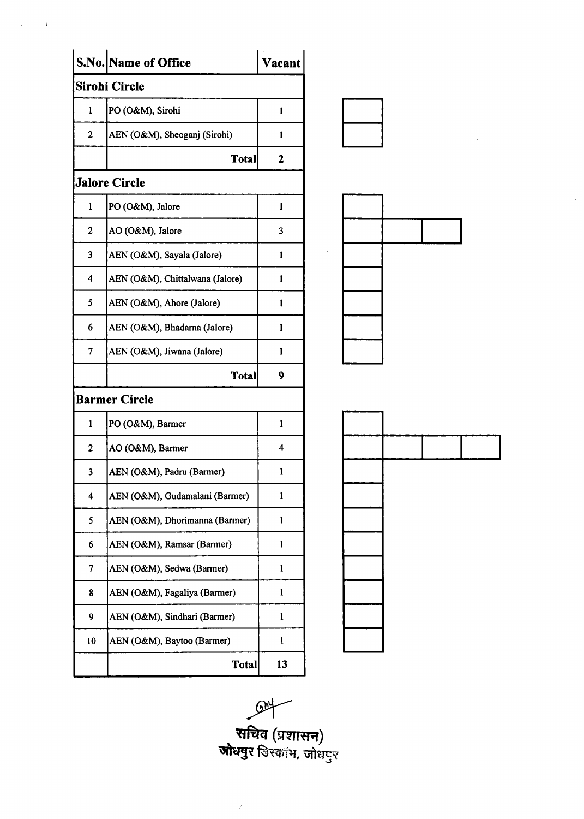|                         | S.No. Name of Office            | Vacant       |
|-------------------------|---------------------------------|--------------|
|                         | Sirohi Circle                   |              |
| 1                       | PO (O&M), Sirohi                | 1            |
| $\overline{2}$          | AEN (O&M), Sheoganj (Sirohi)    | 1            |
|                         | <b>Total</b>                    | 2            |
|                         | <b>Jalore Circle</b>            |              |
| $\mathbf{1}$            | PO (O&M), Jalore                | $\mathbf{1}$ |
| $\overline{\mathbf{c}}$ | AO (O&M), Jalore                | 3            |
| 3                       | AEN (O&M), Sayala (Jalore)      | 1            |
| $\overline{\mathbf{4}}$ | AEN (O&M), Chittalwana (Jalore) | $\mathbf{1}$ |
| 5                       | AEN (O&M), Ahore (Jalore)       | 1            |
| 6                       | AEN (O&M), Bhadarna (Jalore)    | 1            |
| 7                       | AEN (O&M), Jiwana (Jalore)      | 1            |
|                         | Total                           | 9            |
|                         | <b>Barmer Circle</b>            |              |
| 1                       | PO (O&M), Barmer                | 1            |
| $\overline{c}$          | AO (O&M), Barmer                | 4            |
| 3                       | AEN (O&M), Padru (Barmer)       | 1            |
| 4                       | AEN (O&M), Gudamalani (Barmer)  | 1            |
| 5                       | AEN (O&M), Dhorimanna (Barmer)  | $\mathbf{1}$ |
| 6                       | AEN (O&M), Ramsar (Barmer)      | 1            |
| 7                       | AEN (O&M), Sedwa (Barmer)       | 1            |
| 8                       | AEN (O&M), Fagaliya (Barmer)    | 1            |
| 9                       | AEN (O&M), Sindhari (Barmer)    | 1            |
| 10                      | AEN (O&M), Baytoo (Barmer)      | $\mathbf{1}$ |
|                         | <b>Total</b>                    | 13           |

 $\label{eq:2.1} \frac{1}{\left(1-\frac{1}{2}\right)}\left(\frac{1}{2}\right)^{2}=\frac{1}{2}\left(\frac{1}{2}\right)^{2}.$ 



.W . सचिव (प्रशासन)<br>**जोधपु**र डिस्कॉम, जोधपुर

 $\gamma$  ,  $\gamma$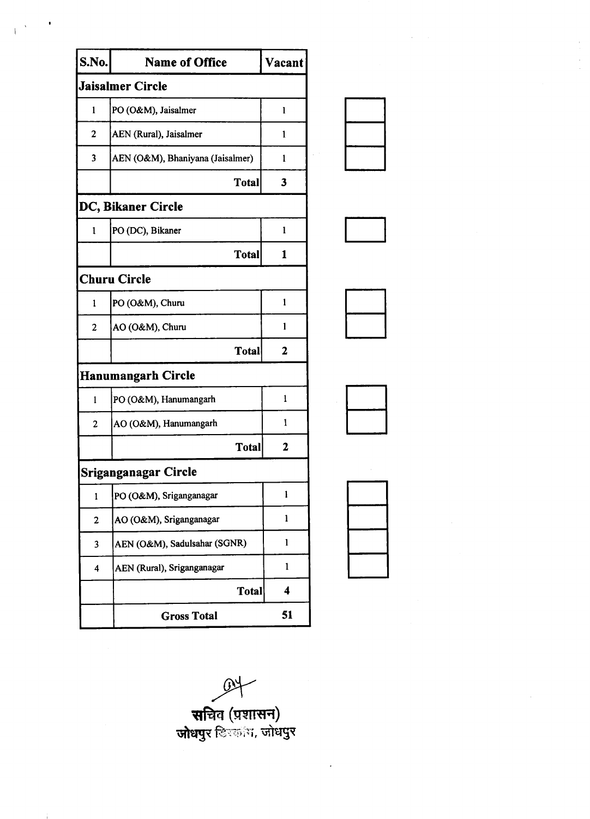| S.No.                   | <b>Name of Office</b>            | Vacant       |
|-------------------------|----------------------------------|--------------|
| <b>Jaisalmer Circle</b> |                                  |              |
| 1                       | PO (O&M), Jaisalmer              | 1            |
| 2                       | AEN (Rural), Jaisalmer           | 1            |
| 3                       | AEN (O&M), Bhaniyana (Jaisalmer) | 1            |
|                         | <b>Total</b>                     | 3            |
|                         | DC, Bikaner Circle               |              |
| 1                       | PO (DC), Bikaner                 | 1            |
|                         | <b>Total</b>                     | 1            |
|                         | <b>Churu Circle</b>              |              |
| 1                       | PO (O&M), Churu                  | 1            |
| 2                       | AO (O&M), Churu                  | 1            |
|                         | Total                            | $\mathbf{2}$ |
|                         | <b>Hanumangarh Circle</b>        |              |
| 1                       | PO (O&M), Hanumangarh            | 1            |
| $\overline{2}$          | AO (O&M), Hanumangarh            | 1            |
|                         | <b>Total</b>                     | $\mathbf 2$  |
|                         | Sriganganagar Circle             |              |
| 1                       | PO (O&M), Sriganganagar          | 1            |
| $\overline{\mathbf{c}}$ | AO (O&M), Sriganganagar          | 1            |
| 3                       | AEN (O&M), Sadulsahar (SGNR)     | 1            |
| 4                       | AEN (Rural), Sriganganagar       | ı            |
|                         | Total                            | 4            |
|                         | <b>Gross Total</b>               | 51           |











**स**चिव (प्रशासन) .w **जोधपु**र िल्लांम, जोधपुर

÷